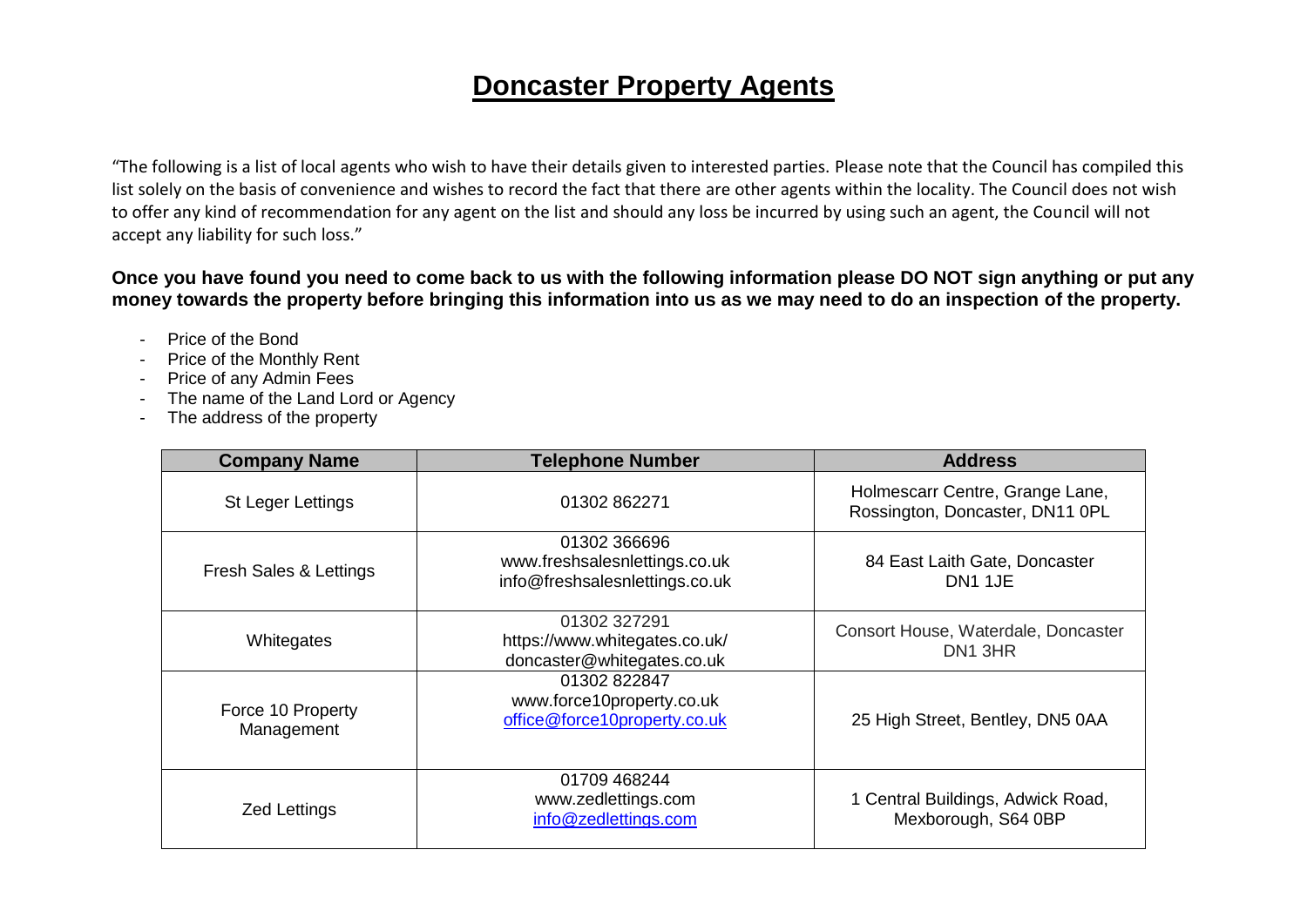## **Doncaster Property Agents**

"The following is a list of local agents who wish to have their details given to interested parties. Please note that the Council has compiled this list solely on the basis of convenience and wishes to record the fact that there are other agents within the locality. The Council does not wish to offer any kind of recommendation for any agent on the list and should any loss be incurred by using such an agent, the Council will not accept any liability for such loss."

## **Once you have found you need to come back to us with the following information please DO NOT sign anything or put any money towards the property before bringing this information into us as we may need to do an inspection of the property.**

- Price of the Bond
- Price of the Monthly Rent
- Price of any Admin Fees
- The name of the Land Lord or Agency
- The address of the property

| <b>Company Name</b>             | <b>Telephone Number</b>                                                         | <b>Address</b>                                                     |
|---------------------------------|---------------------------------------------------------------------------------|--------------------------------------------------------------------|
| St Leger Lettings               | 01302862271                                                                     | Holmescarr Centre, Grange Lane,<br>Rossington, Doncaster, DN11 0PL |
| Fresh Sales & Lettings          | 01302 366696<br>www.freshsalesnlettings.co.uk<br>info@freshsalesnlettings.co.uk | 84 East Laith Gate, Doncaster<br>DN <sub>1</sub> 1JE               |
| Whitegates                      | 01302 327291<br>https://www.whitegates.co.uk/<br>doncaster@whitegates.co.uk     | Consort House, Waterdale, Doncaster<br>DN1 3HR                     |
| Force 10 Property<br>Management | 01302 822847<br>www.force10property.co.uk<br>office@force10property.co.uk       | 25 High Street, Bentley, DN5 0AA                                   |
| <b>Zed Lettings</b>             | 01709 468244<br>www.zedlettings.com<br>info@zedlettings.com                     | 1 Central Buildings, Adwick Road,<br>Mexborough, S64 0BP           |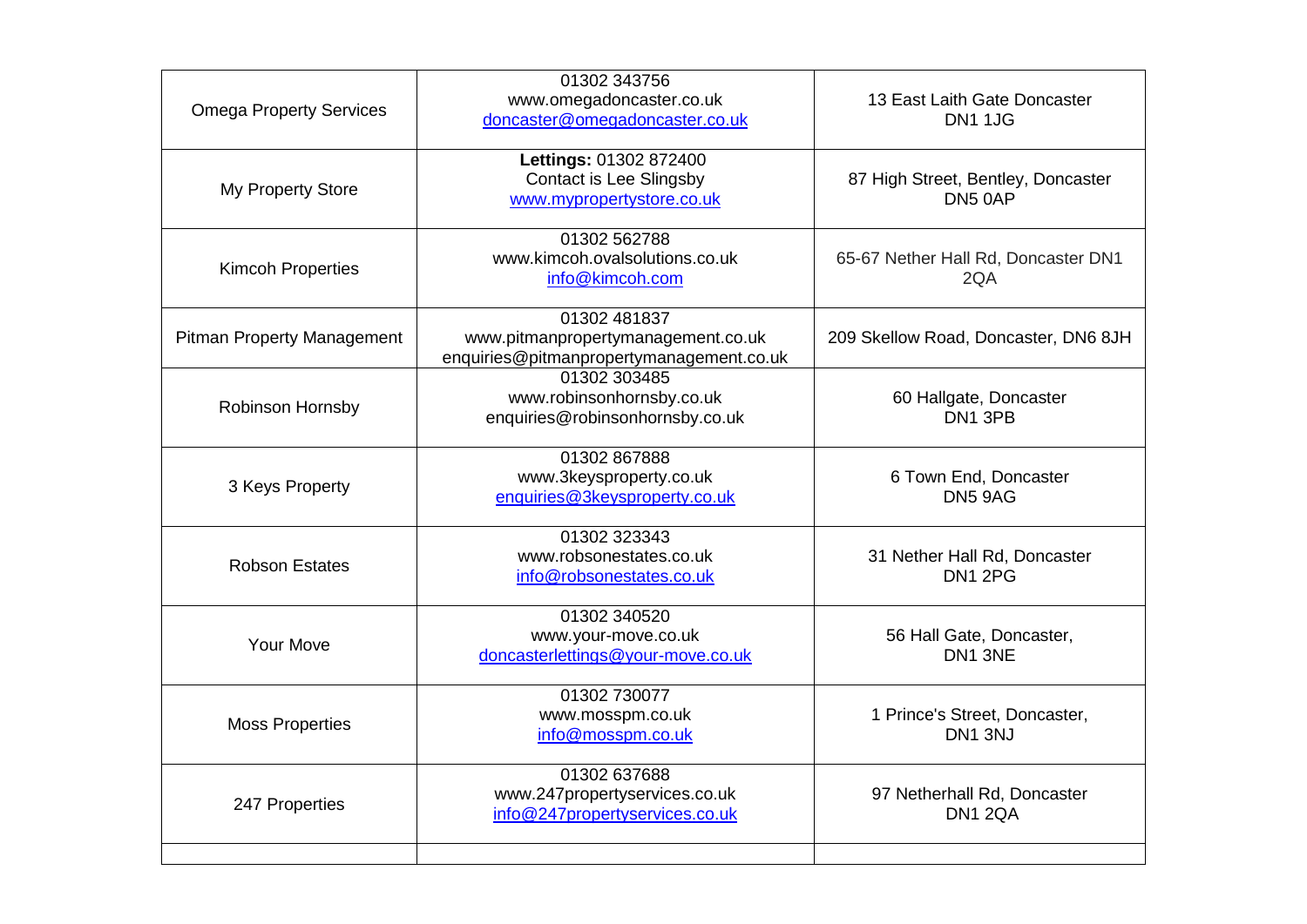| <b>Omega Property Services</b>    | 01302 343756<br>www.omegadoncaster.co.uk<br>doncaster@omegadoncaster.co.uk                     | 13 East Laith Gate Doncaster<br><b>DN1 1JG</b> |
|-----------------------------------|------------------------------------------------------------------------------------------------|------------------------------------------------|
| My Property Store                 | Lettings: 01302 872400<br><b>Contact is Lee Slingsby</b><br>www.mypropertystore.co.uk          | 87 High Street, Bentley, Doncaster<br>DN5 0AP  |
| <b>Kimcoh Properties</b>          | 01302 562788<br>www.kimcoh.ovalsolutions.co.uk<br>info@kimcoh.com                              | 65-67 Nether Hall Rd, Doncaster DN1<br>2QA     |
| <b>Pitman Property Management</b> | 01302 481837<br>www.pitmanpropertymanagement.co.uk<br>enquiries@pitmanpropertymanagement.co.uk | 209 Skellow Road, Doncaster, DN6 8JH           |
| Robinson Hornsby                  | 01302 303485<br>www.robinsonhornsby.co.uk<br>enquiries@robinsonhornsby.co.uk                   | 60 Hallgate, Doncaster<br>DN1 3PB              |
| 3 Keys Property                   | 01302867888<br>www.3keysproperty.co.uk<br>enquiries@3keysproperty.co.uk                        | 6 Town End, Doncaster<br>DN5 9AG               |
| <b>Robson Estates</b>             | 01302 323343<br>www.robsonestates.co.uk<br>info@robsonestates.co.uk                            | 31 Nether Hall Rd, Doncaster<br>DN1 2PG        |
| Your Move                         | 01302 340520<br>www.your-move.co.uk<br>doncasterlettings@your-move.co.uk                       | 56 Hall Gate, Doncaster,<br>DN1 3NE            |
| <b>Moss Properties</b>            | 01302 730077<br>www.mosspm.co.uk<br>info@mosspm.co.uk                                          | 1 Prince's Street, Doncaster,<br>DN1 3NJ       |
| 247 Properties                    | 01302 637688<br>www.247propertyservices.co.uk<br>info@247propertyservices.co.uk                | 97 Netherhall Rd, Doncaster<br><b>DN1 2QA</b>  |
|                                   |                                                                                                |                                                |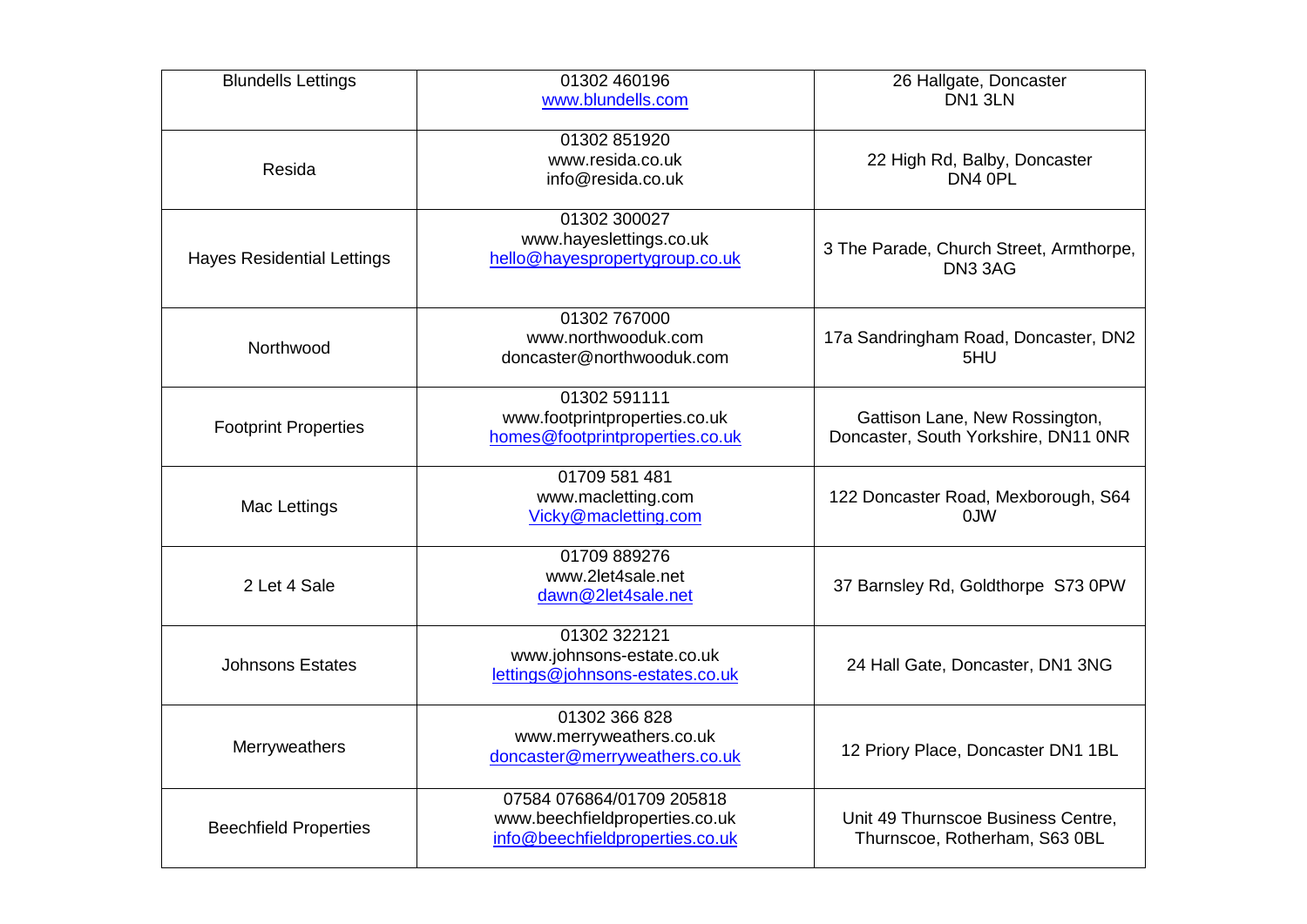| <b>Blundells Lettings</b>         | 01302 460196<br>www.blundells.com                                                              | 26 Hallgate, Doncaster<br>DN1 3LN                                      |
|-----------------------------------|------------------------------------------------------------------------------------------------|------------------------------------------------------------------------|
| Resida                            | 01302 851920<br>www.resida.co.uk<br>info@resida.co.uk                                          | 22 High Rd, Balby, Doncaster<br>DN4 OPL                                |
| <b>Hayes Residential Lettings</b> | 01302 300027<br>www.hayeslettings.co.uk<br>hello@hayespropertygroup.co.uk                      | 3 The Parade, Church Street, Armthorpe,<br>DN3 3AG                     |
| Northwood                         | 01302 767000<br>www.northwooduk.com<br>doncaster@northwooduk.com                               | 17a Sandringham Road, Doncaster, DN2<br>5HU                            |
| <b>Footprint Properties</b>       | 01302 591111<br>www.footprintproperties.co.uk<br>homes@footprintproperties.co.uk               | Gattison Lane, New Rossington,<br>Doncaster, South Yorkshire, DN11 ONR |
| Mac Lettings                      | 01709 581 481<br>www.macletting.com<br>Vicky@macletting.com                                    | 122 Doncaster Road, Mexborough, S64<br>0JW                             |
| 2 Let 4 Sale                      | 01709 889276<br>www.2let4sale.net<br>dawn@2let4sale.net                                        | 37 Barnsley Rd, Goldthorpe S73 0PW                                     |
| <b>Johnsons Estates</b>           | 01302 322121<br>www.johnsons-estate.co.uk<br>lettings@johnsons-estates.co.uk                   | 24 Hall Gate, Doncaster, DN1 3NG                                       |
| Merryweathers                     | 01302 366 828<br>www.merryweathers.co.uk<br>doncaster@merryweathers.co.uk                      | 12 Priory Place, Doncaster DN1 1BL                                     |
| <b>Beechfield Properties</b>      | 07584 076864/01709 205818<br>www.beechfieldproperties.co.uk<br>info@beechfieldproperties.co.uk | Unit 49 Thurnscoe Business Centre,<br>Thurnscoe, Rotherham, S63 0BL    |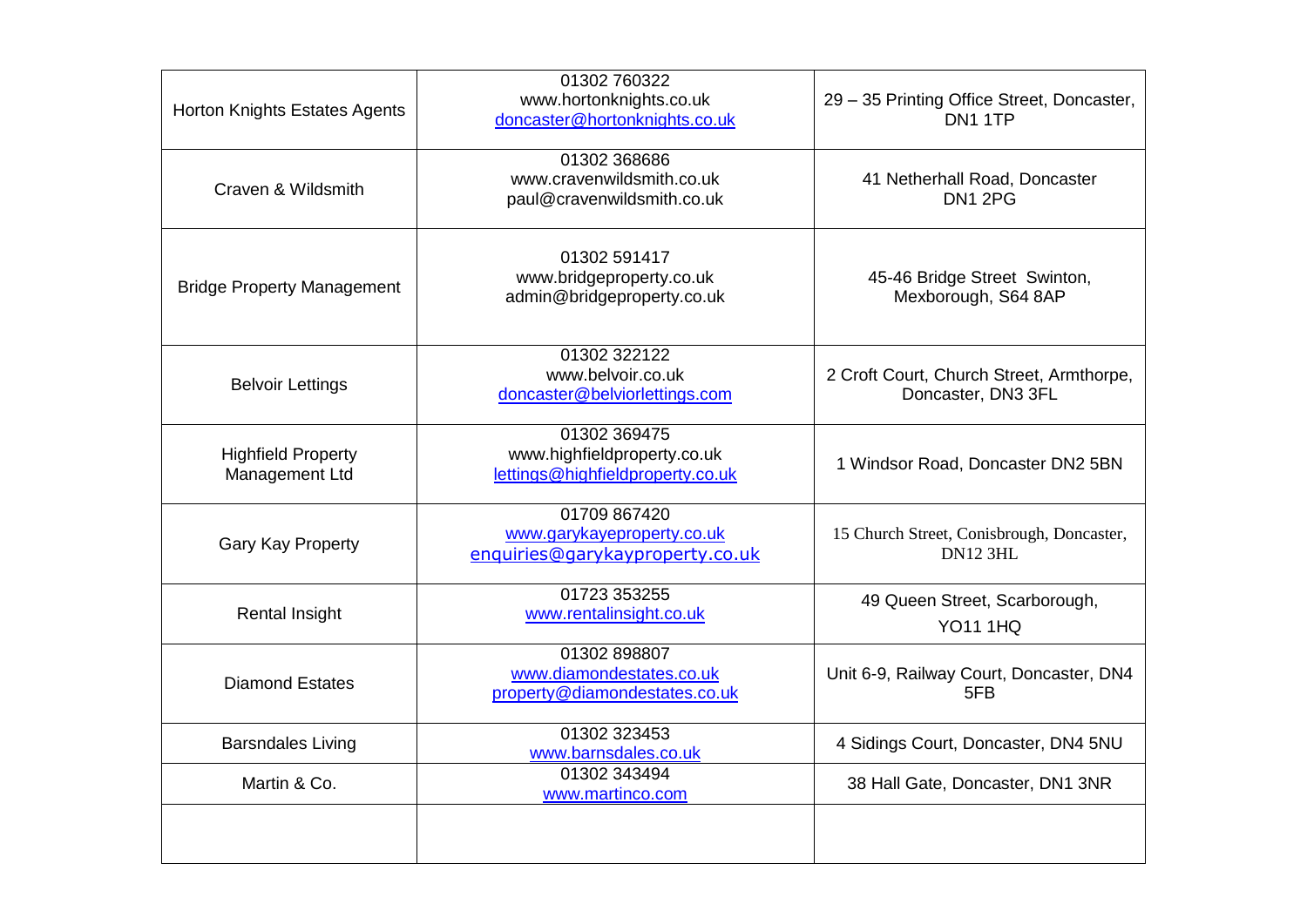| Horton Knights Estates Agents               | 01302 760322<br>www.hortonknights.co.uk<br>doncaster@hortonknights.co.uk        | 29 - 35 Printing Office Street, Doncaster,<br>DN1 1TP          |
|---------------------------------------------|---------------------------------------------------------------------------------|----------------------------------------------------------------|
| Craven & Wildsmith                          | 01302 368686<br>www.cravenwildsmith.co.uk<br>paul@cravenwildsmith.co.uk         | 41 Netherhall Road, Doncaster<br><b>DN1 2PG</b>                |
| <b>Bridge Property Management</b>           | 01302 591417<br>www.bridgeproperty.co.uk<br>admin@bridgeproperty.co.uk          | 45-46 Bridge Street Swinton,<br>Mexborough, S64 8AP            |
| <b>Belvoir Lettings</b>                     | 01302 322122<br>www.belvoir.co.uk<br>doncaster@belviorlettings.com              | 2 Croft Court, Church Street, Armthorpe,<br>Doncaster, DN3 3FL |
| <b>Highfield Property</b><br>Management Ltd | 01302 369475<br>www.highfieldproperty.co.uk<br>lettings@highfieldproperty.co.uk | 1 Windsor Road, Doncaster DN2 5BN                              |
| <b>Gary Kay Property</b>                    | 01709 867420<br>www.garykayeproperty.co.uk<br>enquiries@garykayproperty.co.uk   | 15 Church Street, Conisbrough, Doncaster,<br><b>DN12 3HL</b>   |
| <b>Rental Insight</b>                       | 01723 353255<br>www.rentalinsight.co.uk                                         | 49 Queen Street, Scarborough,<br><b>YO11 1HQ</b>               |
| <b>Diamond Estates</b>                      | 01302 898807<br>www.diamondestates.co.uk<br>property@diamondestates.co.uk       | Unit 6-9, Railway Court, Doncaster, DN4<br>5FB                 |
| <b>Barsndales Living</b>                    | 01302 323453<br>www.barnsdales.co.uk                                            | 4 Sidings Court, Doncaster, DN4 5NU                            |
| Martin & Co.                                | 01302 343494<br>www.martinco.com                                                | 38 Hall Gate, Doncaster, DN1 3NR                               |
|                                             |                                                                                 |                                                                |